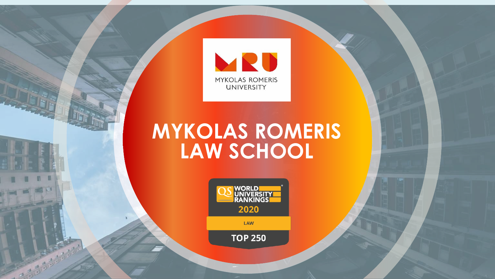

#### **MYKOLAS ROMERIS LAW SCHOOL**



LAW

**TOP 250**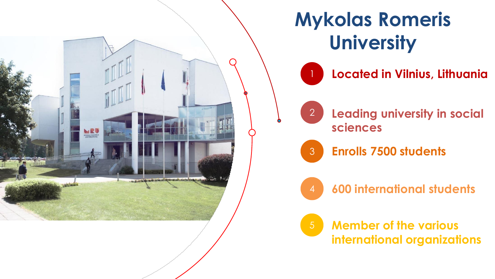

### **Mykolas Romeris University**

1 **Located in Vilnius, Lithuania**



2 **Leading university in social sciences**



3 **Enrolls 7500 students**

4 **600 international students**

5 **Member of the various international organizations**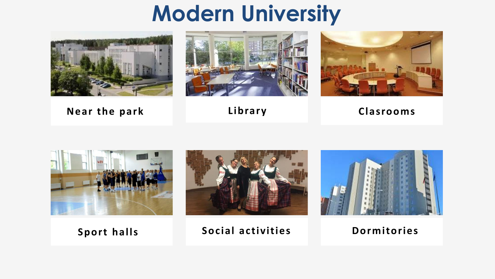### **Modern University**



**Near the park Library Clasrooms**









**Sport halls Social activities Dormitories**

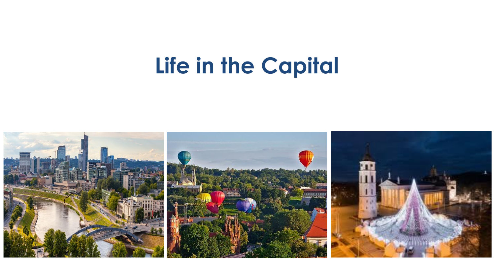## **Life in the Capital**

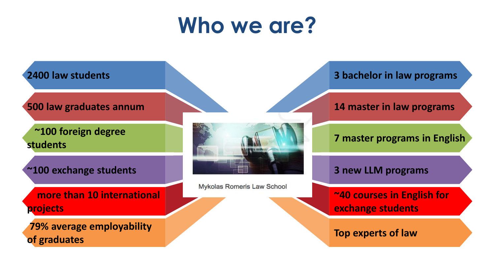## **Who we are?**

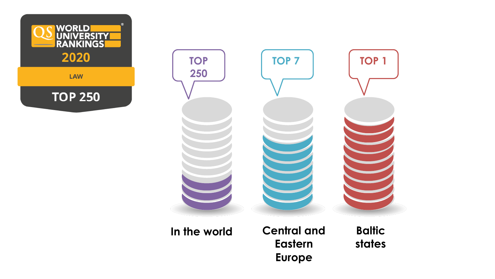



**In the world**

**Central and Eastern Europe**

**Baltic states**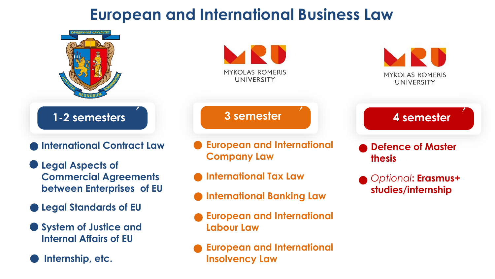#### **European and International Business Law**

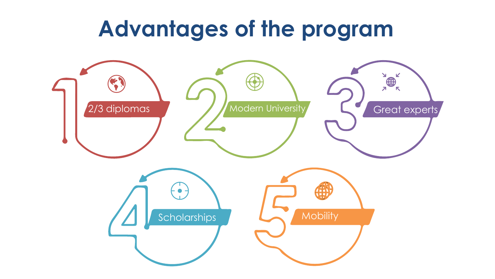#### **Advantages of the program**

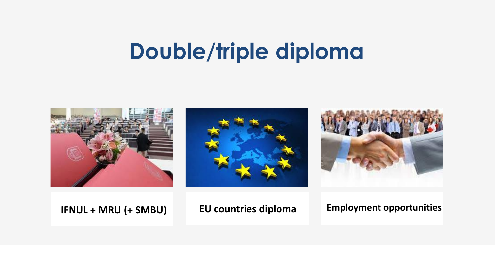### **Double/triple diploma**







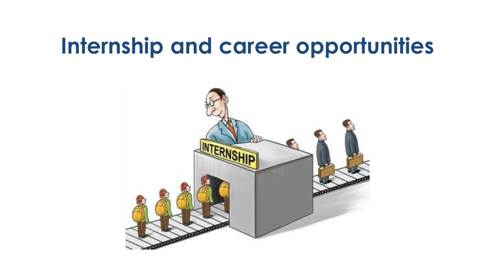#### **Internship and career opportunities**

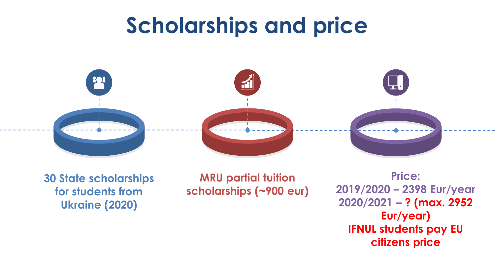## **Scholarships and price**



**30 State scholarships for students from Ukraine (2020)**

**MRU partial tuition scholarships (~900 eur)**

**Price: 2019/2020 – 2398 Eur/year 2020/2021 – ? (max. 2952 Eur/year) IFNUL students pay EU citizens price**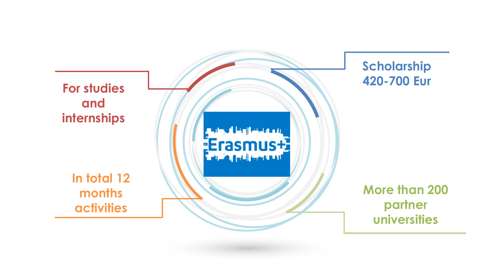